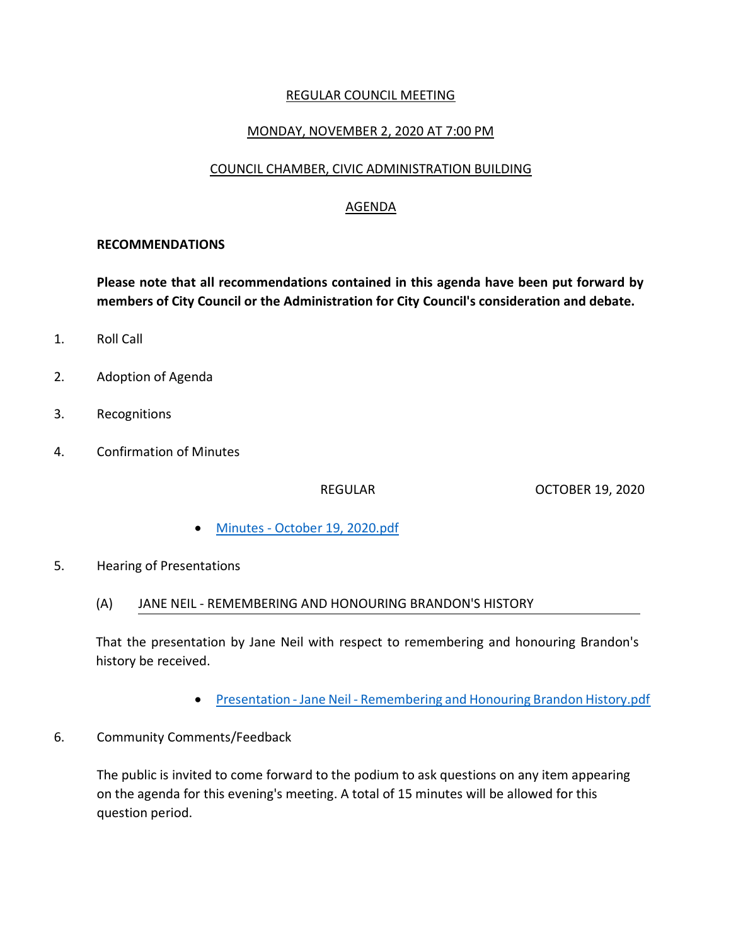## REGULAR COUNCIL MEETING

# MONDAY, NOVEMBER 2, 2020 AT 7:00 PM

### COUNCIL CHAMBER, CIVIC ADMINISTRATION BUILDING

## AGENDA

#### **RECOMMENDATIONS**

**Please note that all recommendations contained in this agenda have been put forward by members of City Council or the Administration for City Council's consideration and debate.**

- 1. Roll Call
- 2. Adoption of Agenda
- 3. Recognitions
- 4. Confirmation of Minutes

REGULAR OCTOBER 19, 2020

- Minutes [October 19, 2020.pdf](https://paperlesscouncil.brandon.ca/attachments/A_2020/COM_VEQHLDYVTLMUUZDLILQTUNFBYLBJYGSMPFVXRDSCMCIPDRHBXXX_Minutes%20-%20October%2019,%202020.pdf)
- 5. Hearing of Presentations
	- (A) JANE NEIL REMEMBERING AND HONOURING BRANDON'S HISTORY

That the presentation by Jane Neil with respect to remembering and honouring Brandon's history be received.

- Presentation Jane Neil [Remembering and Honouring Brandon History.pdf](https://paperlesscouncil.brandon.ca/attachments/A_2020/HOP_JAQLOSDDGXRHGPGIGAZDFYXAHNPIVLURKJSBXINECYARPIUOGZV_Presentation%20-%20Jane%20Neil%20-%20Remembering%20and%20Honouring%20Brandon%20History.pdf)
- 6. Community Comments/Feedback

The public is invited to come forward to the podium to ask questions on any item appearing on the agenda for this evening's meeting. A total of 15 minutes will be allowed for this question period.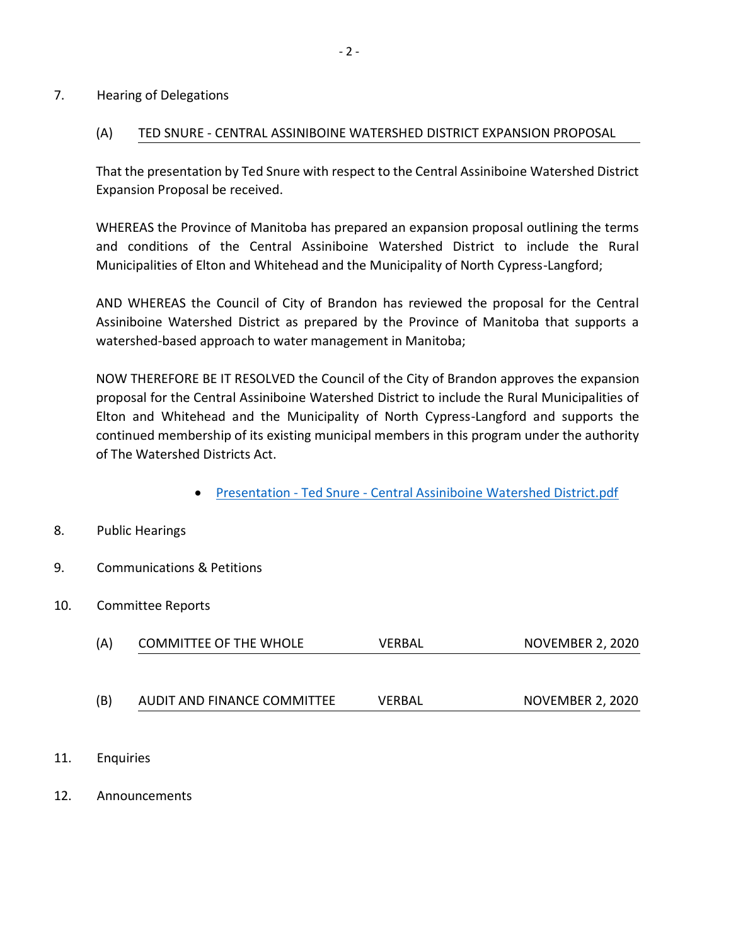#### 7. Hearing of Delegations

## (A) TED SNURE - CENTRAL ASSINIBOINE WATERSHED DISTRICT EXPANSION PROPOSAL

That the presentation by Ted Snure with respect to the Central Assiniboine Watershed District Expansion Proposal be received.

WHEREAS the Province of Manitoba has prepared an expansion proposal outlining the terms and conditions of the Central Assiniboine Watershed District to include the Rural Municipalities of Elton and Whitehead and the Municipality of North Cypress-Langford;

AND WHEREAS the Council of City of Brandon has reviewed the proposal for the Central Assiniboine Watershed District as prepared by the Province of Manitoba that supports a watershed-based approach to water management in Manitoba;

NOW THEREFORE BE IT RESOLVED the Council of the City of Brandon approves the expansion proposal for the Central Assiniboine Watershed District to include the Rural Municipalities of Elton and Whitehead and the Municipality of North Cypress-Langford and supports the continued membership of its existing municipal members in this program under the authority of The Watershed Districts Act.

Presentation - Ted Snure - [Central Assiniboine Watershed District.pdf](https://paperlesscouncil.brandon.ca/attachments/A_2020/HOD_KGVHQFXGNYLYPJIBGDGBRZZKGKDHGIQBYPJXRBYVDVMZWNSARIJ_Presentation%20-%20Ted%20Snure%20-%20Central%20Assiniboine%20Watershed%20District.pdf)

## 8. Public Hearings

- 9. Communications & Petitions
- 10. Committee Reports

| (A) | <b>COMMITTEE OF THE WHOLE</b> | VERBAL        | <b>NOVEMBER 2, 2020</b> |
|-----|-------------------------------|---------------|-------------------------|
|     |                               |               |                         |
| (B) | AUDIT AND FINANCE COMMITTEE   | <b>VERBAL</b> | <b>NOVEMBER 2, 2020</b> |

- 11. Enquiries
- 12. Announcements